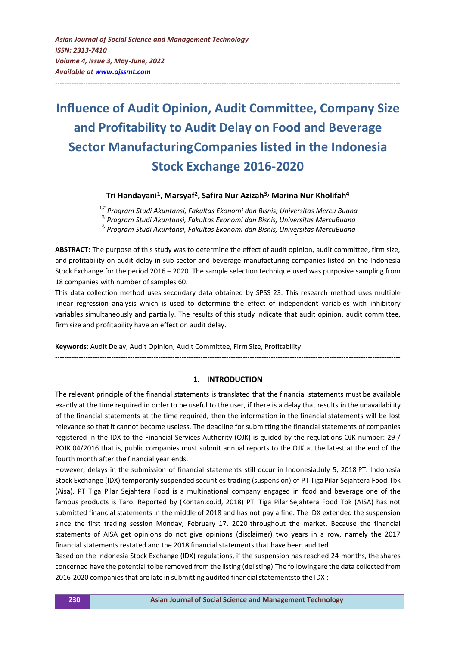# **Influence of Audit Opinion, Audit Committee, Company Size and Profitability to Audit Delay on Food and Beverage Sector ManufacturingCompanies listed in the Indonesia Stock Exchange 2016-2020**

---------------------------------------------------------------------------------------------------------------------------------------------------

# **Tri Handayani<sup>1</sup> , Marsyaf<sup>2</sup> , Safira Nur Azizah3, Marina Nur Kholifah<sup>4</sup>**

*1,2 Program Studi Akuntansi, Fakultas Ekonomi dan Bisnis, Universitas Mercu Buana*

*3, Program Studi Akuntansi, Fakultas Ekonomi dan Bisnis, Universitas MercuBuana*

*4, Program Studi Akuntansi, Fakultas Ekonomi dan Bisnis, Universitas MercuBuana*

**ABSTRACT:** The purpose of this study was to determine the effect of audit opinion, audit committee, firm size, and profitability on audit delay in sub-sector and beverage manufacturing companies listed on the Indonesia Stock Exchange for the period 2016 – 2020. The sample selection technique used was purposive sampling from 18 companies with number of samples 60.

This data collection method uses secondary data obtained by SPSS 23. This research method uses multiple linear regression analysis which is used to determine the effect of independent variables with inhibitory variables simultaneously and partially. The results of this study indicate that audit opinion, audit committee, firm size and profitability have an effect on audit delay.

**Keywords**: Audit Delay, Audit Opinion, Audit Committee, Firm Size, Profitability

#### **1. INTRODUCTION**

---------------------------------------------------------------------------------------------------------------------------------------------------

The relevant principle of the financial statements is translated that the financial statements must be available exactly at the time required in order to be useful to the user, if there is a delay that results in the unavailability of the financial statements at the time required, then the information in the financial statements will be lost relevance so that it cannot become useless. The deadline for submitting the financial statements of companies registered in the IDX to the Financial Services Authority (OJK) is guided by the regulations OJK number: 29 / POJK.04/2016 that is, public companies must submit annual reports to the OJK at the latest at the end of the fourth month after the financial year ends.

However, delays in the submission of financial statements still occur in Indonesia.July 5, 2018 PT. Indonesia Stock Exchange (IDX) temporarily suspended securities trading (suspension) of PT TigaPilar Sejahtera Food Tbk (Aisa). PT Tiga Pilar Sejahtera Food is a multinational company engaged in food and beverage one of the famous products is Taro. Reported by (Kontan.co.id, 2018) PT. Tiga Pilar Sejahtera Food Tbk (AISA) has not submitted financial statements in the middle of 2018 and has not pay a fine. The IDX extended the suspension since the first trading session Monday, February 17, 2020 throughout the market. Because the financial statements of AISA get opinions do not give opinions (disclaimer) two years in a row, namely the 2017 financial statements restated and the 2018 financial statements that have been audited.

Based on the Indonesia Stock Exchange (IDX) regulations, if the suspension has reached 24 months, the shares concerned have the potential to be removed from the listing (delisting).The followingare the data collected from 2016-2020 companies that are late in submitting audited financial statementsto the IDX :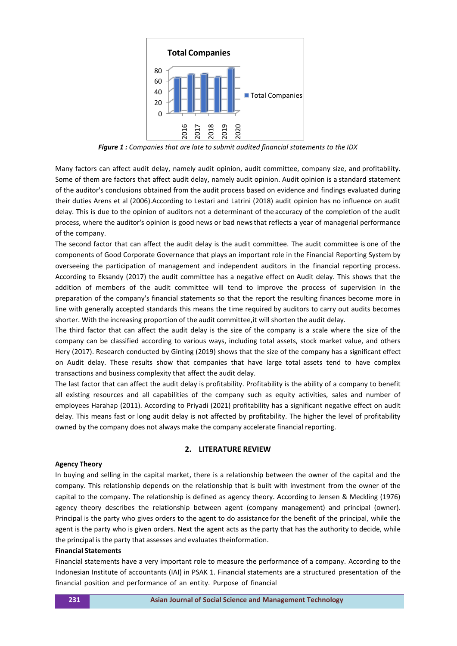

*Figure 1 : Companies that are late to submit audited financial statements to the IDX*

Many factors can affect audit delay, namely audit opinion, audit committee, company size, and profitability. Some of them are factors that affect audit delay, namely audit opinion. Audit opinion is a standard statement of the auditor's conclusions obtained from the audit process based on evidence and findings evaluated during their duties Arens et al (2006).According to Lestari and Latrini (2018) audit opinion has no influence on audit delay. This is due to the opinion of auditors not a determinant of the accuracy of the completion of the audit process, where the auditor's opinion is good news or bad newsthat reflects a year of managerial performance of the company.

The second factor that can affect the audit delay is the audit committee. The audit committee is one of the components of Good Corporate Governance that plays an important role in the Financial Reporting System by overseeing the participation of management and independent auditors in the financial reporting process. According to Eksandy (2017) the audit committee has a negative effect on Audit delay. This shows that the addition of members of the audit committee will tend to improve the process of supervision in the preparation of the company's financial statements so that the report the resulting finances become more in line with generally accepted standards this means the time required by auditors to carry out audits becomes shorter. With the increasing proportion of the audit committee,it will shorten the audit delay.

The third factor that can affect the audit delay is the size of the company is a scale where the size of the company can be classified according to various ways, including total assets, stock market value, and others Hery (2017). Research conducted by Ginting (2019) shows that the size of the company has a significant effect on Audit delay. These results show that companies that have large total assets tend to have complex transactions and business complexity that affect the audit delay.

The last factor that can affect the audit delay is profitability. Profitability is the ability of a company to benefit all existing resources and all capabilities of the company such as equity activities, sales and number of employees Harahap (2011). According to Priyadi (2021) profitability has a significant negative effect on audit delay. This means fast or long audit delay is not affected by profitability. The higher the level of profitability owned by the company does not always make the company accelerate financial reporting.

# **2. LITERATURE REVIEW**

# **Agency Theory**

In buying and selling in the capital market, there is a relationship between the owner of the capital and the company. This relationship depends on the relationship that is built with investment from the owner of the capital to the company. The relationship is defined as agency theory. According to Jensen & Meckling (1976) agency theory describes the relationship between agent (company management) and principal (owner). Principal is the party who gives orders to the agent to do assistance for the benefit of the principal, while the agent is the party who is given orders. Next the agent acts as the party that has the authority to decide, while the principal is the party that assesses and evaluates theinformation.

#### **Financial Statements**

Financial statements have a very important role to measure the performance of a company. According to the Indonesian Institute of accountants (IAI) in PSAK 1. Financial statements are a structured presentation of the financial position and performance of an entity. Purpose of financial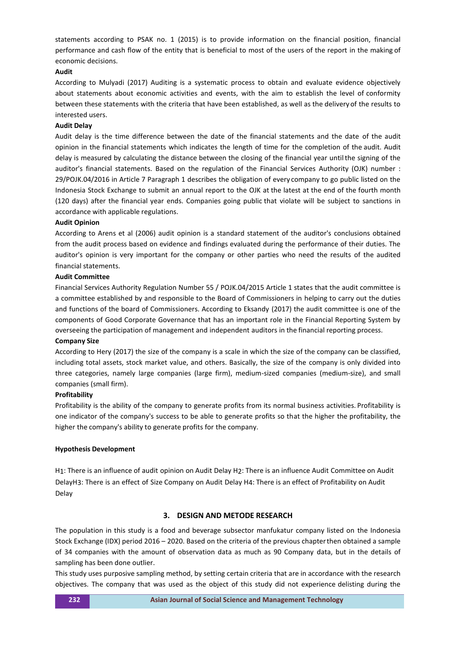statements according to PSAK no. 1 (2015) is to provide information on the financial position, financial performance and cash flow of the entity that is beneficial to most of the users of the report in the making of economic decisions.

# **Audit**

According to Mulyadi (2017) Auditing is a systematic process to obtain and evaluate evidence objectively about statements about economic activities and events, with the aim to establish the level of conformity between these statements with the criteria that have been established, as well as the delivery of the results to interested users.

#### **Audit Delay**

Audit delay is the time difference between the date of the financial statements and the date of the audit opinion in the financial statements which indicates the length of time for the completion of the audit. Audit delay is measured by calculating the distance between the closing of the financial year untilthe signing of the auditor's financial statements. Based on the regulation of the Financial Services Authority (OJK) number : 29/POJK.04/2016 in Article 7 Paragraph 1 describes the obligation of every company to go public listed on the Indonesia Stock Exchange to submit an annual report to the OJK at the latest at the end of the fourth month (120 days) after the financial year ends. Companies going public that violate will be subject to sanctions in accordance with applicable regulations.

#### **Audit Opinion**

According to Arens et al (2006) audit opinion is a standard statement of the auditor's conclusions obtained from the audit process based on evidence and findings evaluated during the performance of their duties. The auditor's opinion is very important for the company or other parties who need the results of the audited financial statements.

#### **Audit Committee**

Financial Services Authority Regulation Number 55 / POJK.04/2015 Article 1 states that the audit committee is a committee established by and responsible to the Board of Commissioners in helping to carry out the duties and functions of the board of Commissioners. According to Eksandy (2017) the audit committee is one of the components of Good Corporate Governance that has an important role in the Financial Reporting System by overseeing the participation of management and independent auditors in the financial reporting process.

#### **Company Size**

According to Hery (2017) the size of the company is a scale in which the size of the company can be classified, including total assets, stock market value, and others. Basically, the size of the company is only divided into three categories, namely large companies (large firm), medium-sized companies (medium-size), and small companies (small firm).

#### **Profitability**

Profitability is the ability of the company to generate profits from its normal business activities. Profitability is one indicator of the company's success to be able to generate profits so that the higher the profitability, the higher the company's ability to generate profits for the company.

#### **Hypothesis Development**

H1: There is an influence of audit opinion on Audit Delay H2: There is an influence Audit Committee on Audit DelayH3: There is an effect of Size Company on Audit Delay H4: There is an effect of Profitability on Audit Delay

## **3. DESIGN AND METODE RESEARCH**

The population in this study is a food and beverage subsector manfukatur company listed on the Indonesia Stock Exchange (IDX) period 2016 – 2020. Based on the criteria of the previous chapterthen obtained a sample of 34 companies with the amount of observation data as much as 90 Company data, but in the details of sampling has been done outlier.

This study uses purposive sampling method, by setting certain criteria that are in accordance with the research objectives. The company that was used as the object of this study did not experience delisting during the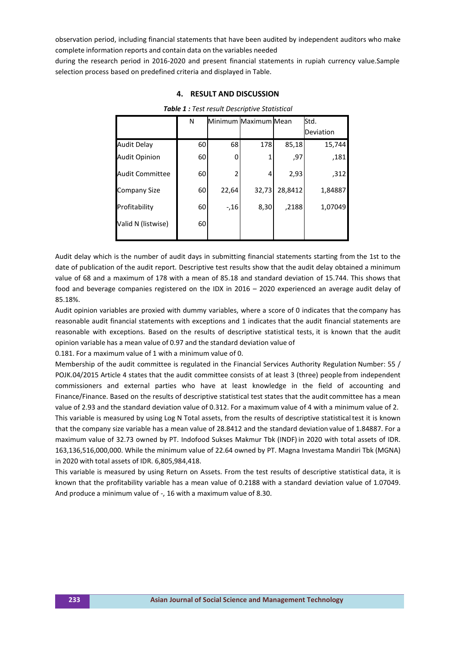observation period, including financial statements that have been audited by independent auditors who make complete information reports and contain data on the variables needed

during the research period in 2016-2020 and present financial statements in rupiah currency value.Sample selection process based on predefined criteria and displayed in Table.

|                        | N  |       | Minimum Maximum Mean |         | Std.      |
|------------------------|----|-------|----------------------|---------|-----------|
|                        |    |       |                      |         | Deviation |
| <b>Audit Delay</b>     | 60 | 68    | 178                  | 85,18   | 15,744    |
| <b>Audit Opinion</b>   | 60 | 0     | 1                    | ,97     | ,181      |
| <b>Audit Committee</b> | 60 | 2     | 4                    | 2,93    | ,312      |
| Company Size           | 60 | 22,64 | 32,73                | 28,8412 | 1,84887   |
| Profitability          | 60 | $-16$ | 8,30                 | ,2188   | 1,07049   |
| Valid N (listwise)     | 60 |       |                      |         |           |

## **4. RESULT AND DISCUSSION**

*Table 1 : Test result Descriptive Statistical*

Audit delay which is the number of audit days in submitting financial statements starting from the 1st to the date of publication of the audit report. Descriptive test results show that the audit delay obtained a minimum value of 68 and a maximum of 178 with a mean of 85.18 and standard deviation of 15.744. This shows that food and beverage companies registered on the IDX in 2016 – 2020 experienced an average audit delay of 85.18%.

Audit opinion variables are proxied with dummy variables, where a score of 0 indicates that the company has reasonable audit financial statements with exceptions and 1 indicates that the audit financial statements are reasonable with exceptions. Based on the results of descriptive statistical tests, it is known that the audit opinion variable has a mean value of 0.97 and the standard deviation value of

0.181. For a maximum value of 1 with a minimum value of 0.

Membership of the audit committee is regulated in the Financial Services Authority Regulation Number: 55 / POJK.04/2015 Article 4 states that the audit committee consists of at least 3 (three) people from independent commissioners and external parties who have at least knowledge in the field of accounting and Finance/Finance. Based on the results of descriptive statistical test states that the audit committee has a mean value of 2.93 and the standard deviation value of 0.312. For a maximum value of 4 with a minimum value of 2. This variable is measured by using Log N Total assets, from the results of descriptive statisticaltest it is known that the company size variable has a mean value of 28.8412 and the standard deviation value of 1.84887. For a maximum value of 32.73 owned by PT. Indofood Sukses Makmur Tbk (INDF) in 2020 with total assets of IDR. 163,136,516,000,000. While the minimum value of 22.64 owned by PT. Magna Investama Mandiri Tbk (MGNA) in 2020 with total assets of IDR. 6,805,984,418.

This variable is measured by using Return on Assets. From the test results of descriptive statistical data, it is known that the profitability variable has a mean value of 0.2188 with a standard deviation value of 1.07049. And produce a minimum value of -, 16 with a maximum value of 8.30.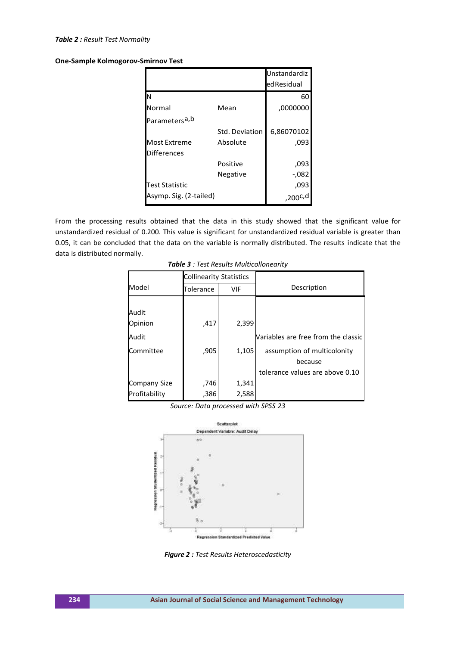#### *Table 2 : Result Test Normality*

**One-Sample Kolmogorov-Smirnov Test**

|                            |                | Unstandardiz |
|----------------------------|----------------|--------------|
|                            |                | ed Residual  |
| lΝ                         |                | 60           |
| Normal                     | Mean           | ,0000000     |
| Parameters <sup>a, b</sup> |                |              |
|                            | Std. Deviation | 6,86070102   |
| <b>Most Extreme</b>        | Absolute       | ,093         |
| <b>Differences</b>         |                |              |
|                            | Positive       | ,093         |
|                            | Negative       | -,082        |
| Test Statistic             |                | ,093         |
| Asymp. Sig. (2-tailed)     |                | ,200c,d      |

From the processing results obtained that the data in this study showed that the significant value for unstandardized residual of 0.200. This value is significant for unstandardized residual variable is greater than 0.05, it can be concluded that the data on the variable is normally distributed. The results indicate that the data is distributed normally.

|                     | <b>Collinearity Statistics</b> |       |                                     |  |  |
|---------------------|--------------------------------|-------|-------------------------------------|--|--|
| Model               | Tolerance<br>VIF               |       | Description                         |  |  |
|                     |                                |       |                                     |  |  |
| Audit               |                                |       |                                     |  |  |
| Opinion             | ,417                           | 2,399 |                                     |  |  |
| Audit               |                                |       | Variables are free from the classic |  |  |
| Committee           | ,905                           | 1,105 | assumption of multicolonity         |  |  |
|                     |                                |       | because                             |  |  |
|                     |                                |       | tolerance values are above 0.10     |  |  |
| <b>Company Size</b> | ,746                           | 1,341 |                                     |  |  |
| Profitability       | ,386                           | 2,588 |                                     |  |  |

*Table 3 : Test Results Multicollonearity*





*Figure 2 : Test Results Heteroscedasticity*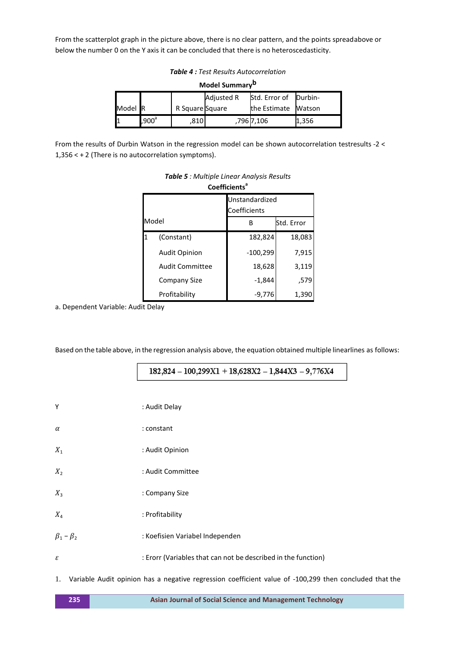From the scatterplot graph in the picture above, there is no clear pattern, and the points spreadabove or below the number 0 on the Y axis it can be concluded that there is no heteroscedasticity.

*Table 4 : Test Results Autocorrelation*

|  | Model Summary <sup>b</sup> |
|--|----------------------------|
|--|----------------------------|

|         |                   |                 | Adjusted R | Std. Error of   Durbin- |       |
|---------|-------------------|-----------------|------------|-------------------------|-------|
| Model R |                   | R Square Square |            | the Estimate Watson     |       |
|         | .900 <sup>d</sup> | .810            |            | ,796 7,106              | 1,356 |

From the results of Durbin Watson in the regression model can be shown autocorrelation testresults -2 < 1,356 < + 2 (There is no autocorrelation symptoms).

|   | LUEINLIENS             |                 |        |  |  |  |
|---|------------------------|-----------------|--------|--|--|--|
|   | Unstandardized         |                 |        |  |  |  |
|   |                        | Coefficients    |        |  |  |  |
|   | Model                  | Std. Error<br>R |        |  |  |  |
| 1 | (Constant)             | 182,824         | 18,083 |  |  |  |
|   | <b>Audit Opinion</b>   | $-100,299$      | 7,915  |  |  |  |
|   | <b>Audit Committee</b> | 18,628          | 3,119  |  |  |  |
|   | Company Size           | $-1,844$        | ,579   |  |  |  |
|   | Profitability          | -9.776          | 1,390  |  |  |  |

# *Table 5 : Multiple Linear Analysis Results* **Coefficients<sup>a</sup>**

a. Dependent Variable: Audit Delay

Based on the table above, in the regression analysis above, the equation obtained multiple linearlines as follows:

 $182,824 - 100,299X1 + 18,628X2 - 1,844X3 - 9,776X4$ 

| Y                   | : Audit Delay                                                 |
|---------------------|---------------------------------------------------------------|
| α                   | : constant                                                    |
| $X_1$               | : Audit Opinion                                               |
| $X_{2}$             | : Audit Committee                                             |
| $X_3$               | : Company Size                                                |
| $X_4$               | : Profitability                                               |
| $\beta_1 - \beta_2$ | : Koefisien Variabel Independen                               |
| ε                   | : Erorr (Variables that can not be described in the function) |
|                     |                                                               |

1. Variable Audit opinion has a negative regression coefficient value of -100,299 then concluded that the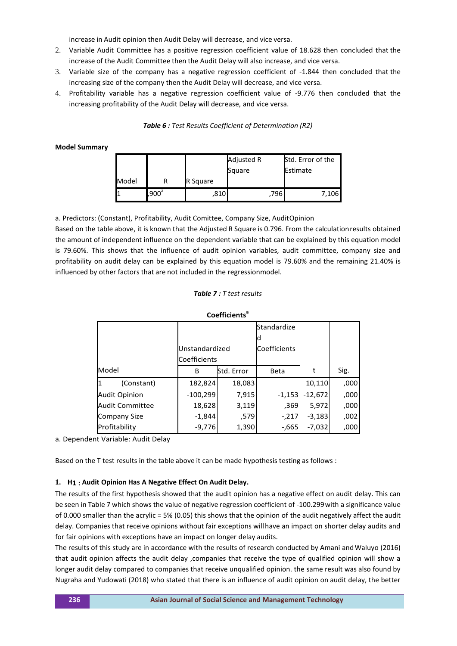increase in Audit opinion then Audit Delay will decrease, and vice versa.

- 2. Variable Audit Committee has a positive regression coefficient value of 18.628 then concluded that the increase of the Audit Committee then the Audit Delay will also increase, and vice versa.
- 3. Variable size of the company has a negative regression coefficient of -1.844 then concluded that the increasing size of the company then the Audit Delay will decrease, and vice versa.
- 4. Profitability variable has a negative regression coefficient value of -9.776 then concluded that the increasing profitability of the Audit Delay will decrease, and vice versa.

*Table 6 : Test Results Coefficient of Determination (R2)*

#### **Model Summary**

|       |          |          | Adjusted R | Std. Error of the |  |
|-------|----------|----------|------------|-------------------|--|
|       |          |          | Square     | Estimate          |  |
| Model |          | R Square |            |                   |  |
|       | $,900^a$ | 810      | 796        | 7,106             |  |

a. Predictors: (Constant), Profitability, Audit Comittee, Company Size, AuditOpinion

Based on the table above, it is known that the Adjusted R Square is 0.796. From the calculationresults obtained the amount of independent influence on the dependent variable that can be explained by this equation model is 79.60%. This shows that the influence of audit opinion variables, audit committee, company size and profitability on audit delay can be explained by this equation model is 79.60% and the remaining 21.40% is influenced by other factors that are not included in the regressionmodel.

#### *Table 7 : T test results*

| ----------           |                |            |              |           |      |  |  |  |
|----------------------|----------------|------------|--------------|-----------|------|--|--|--|
|                      |                |            | Standardize  |           |      |  |  |  |
|                      |                |            |              |           |      |  |  |  |
|                      | Unstandardized |            | Coefficients |           |      |  |  |  |
|                      | Coefficients   |            |              |           |      |  |  |  |
| Model                | B              | Std. Error | <b>Beta</b>  | t         | Sig. |  |  |  |
| (Constant)<br>11     | 182,824        | 18,083     |              | 10,110    | ,000 |  |  |  |
| <b>Audit Opinion</b> | $-100,299$     | 7,915      | $-1,153$     | $-12,672$ | ,000 |  |  |  |
| Audit Committee      | 18,628         | 3,119      | .369         | 5,972     | ,000 |  |  |  |
| Company Size         | $-1,844$       | ,579       | $-217$       | $-3,183$  | ,002 |  |  |  |
| Profitability        | $-9,776$       | 1,390      | $-665$       | $-7,032$  | ,000 |  |  |  |

**Coefficients<sup>a</sup>**

a. Dependent Variable: Audit Delay

Based on the T test results in the table above it can be made hypothesis testing as follows :

#### **1. H1 : Audit Opinion Has A Negative Effect On Audit Delay.**

The results of the first hypothesis showed that the audit opinion has a negative effect on audit delay. This can be seen in Table 7 which shows the value of negative regression coefficient of -100.299with a significance value of 0.000 smaller than the acrylic = 5% (0.05) this shows that the opinion of the audit negatively affect the audit delay. Companies that receive opinions without fair exceptions willhave an impact on shorter delay audits and for fair opinions with exceptions have an impact on longer delay audits.

The results of this study are in accordance with the results of research conducted by Amani andWaluyo (2016) that audit opinion affects the audit delay ,companies that receive the type of qualified opinion will show a longer audit delay compared to companies that receive unqualified opinion. the same result was also found by Nugraha and Yudowati (2018) who stated that there is an influence of audit opinion on audit delay, the better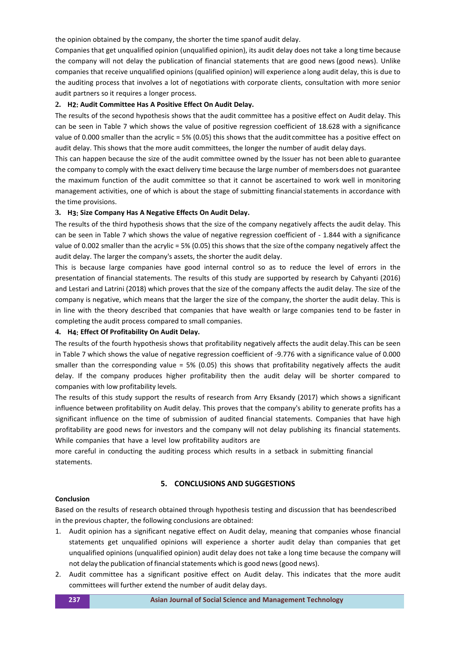the opinion obtained by the company, the shorter the time spanof audit delay.

Companies that get unqualified opinion (unqualified opinion), its audit delay does not take a long time because the company will not delay the publication of financial statements that are good news (good news). Unlike companies that receive unqualified opinions (qualified opinion) will experience a long audit delay, this is due to the auditing process that involves a lot of negotiations with corporate clients, consultation with more senior audit partners so it requires a longer process.

# **2. H2: Audit Committee Has A Positive Effect On Audit Delay.**

The results of the second hypothesis shows that the audit committee has a positive effect on Audit delay. This can be seen in Table 7 which shows the value of positive regression coefficient of 18.628 with a significance value of 0.000 smaller than the acrylic = 5% (0.05) this shows that the audit committee has a positive effect on audit delay. This shows that the more audit committees, the longer the number of audit delay days.

This can happen because the size of the audit committee owned by the Issuer has not been able to guarantee the company to comply with the exact delivery time because the large number of membersdoes not guarantee the maximum function of the audit committee so that it cannot be ascertained to work well in monitoring management activities, one of which is about the stage of submitting financialstatements in accordance with the time provisions.

#### **3. H3: Size Company Has A Negative Effects On Audit Delay.**

The results of the third hypothesis shows that the size of the company negatively affects the audit delay. This can be seen in Table 7 which shows the value of negative regression coefficient of - 1.844 with a significance value of 0.002 smaller than the acrylic = 5% (0.05) this shows that the size ofthe company negatively affect the audit delay. The larger the company's assets, the shorter the audit delay.

This is because large companies have good internal control so as to reduce the level of errors in the presentation of financial statements. The results of this study are supported by research by Cahyanti (2016) and Lestari and Latrini (2018) which proves that the size of the company affects the audit delay. The size of the company is negative, which means that the larger the size of the company, the shorter the audit delay. This is in line with the theory described that companies that have wealth or large companies tend to be faster in completing the audit process compared to small companies.

#### **4. H4: Effect Of Profitability On Audit Delay.**

The results of the fourth hypothesis shows that profitability negatively affects the audit delay.This can be seen in Table 7 which shows the value of negative regression coefficient of -9.776 with a significance value of 0.000 smaller than the corresponding value = 5% (0.05) this shows that profitability negatively affects the audit delay. If the company produces higher profitability then the audit delay will be shorter compared to companies with low profitability levels.

The results of this study support the results of research from Arry Eksandy (2017) which shows a significant influence between profitability on Audit delay. This proves that the company's ability to generate profits has a significant influence on the time of submission of audited financial statements. Companies that have high profitability are good news for investors and the company will not delay publishing its financial statements. While companies that have a level low profitability auditors are

more careful in conducting the auditing process which results in a setback in submitting financial statements.

# **5. CONCLUSIONS AND SUGGESTIONS**

#### **Conclusion**

Based on the results of research obtained through hypothesis testing and discussion that has beendescribed in the previous chapter, the following conclusions are obtained:

- 1. Audit opinion has a significant negative effect on Audit delay, meaning that companies whose financial statements get unqualified opinions will experience a shorter audit delay than companies that get unqualified opinions (unqualified opinion) audit delay does not take a long time because the company will not delay the publication of financial statements which is good news (good news).
- 2. Audit committee has a significant positive effect on Audit delay. This indicates that the more audit committees will further extend the number of audit delay days.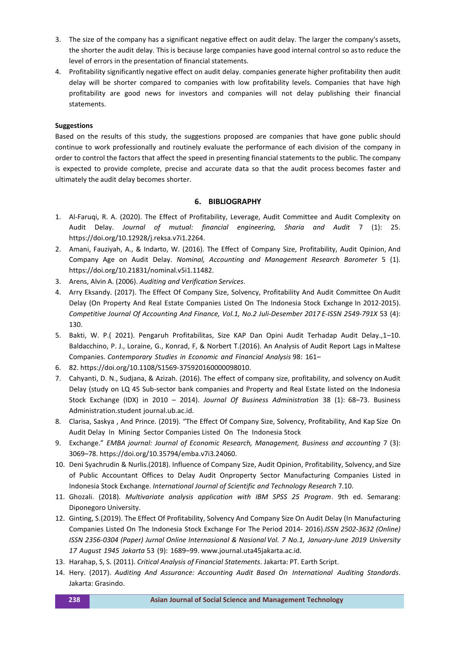- 3. The size of the company has a significant negative effect on audit delay. The larger the company's assets, the shorter the audit delay. This is because large companies have good internal control so asto reduce the level of errors in the presentation of financial statements.
- 4. Profitability significantly negative effect on audit delay. companies generate higher profitability then audit delay will be shorter compared to companies with low profitability levels. Companies that have high profitability are good news for investors and companies will not delay publishing their financial statements.

# **Suggestions**

Based on the results of this study, the suggestions proposed are companies that have gone public should continue to work professionally and routinely evaluate the performance of each division of the company in order to control the factors that affect the speed in presenting financial statements to the public. The company is expected to provide complete, precise and accurate data so that the audit process becomes faster and ultimately the audit delay becomes shorter.

# **6. BIBLIOGRAPHY**

- 1. Al-Faruqi, R. A. (2020). The Effect of Profitability, Leverage, Audit Committee and Audit Complexity on Audit Delay. *Journal of mutual: financial engineering, Sharia and Audit* 7 (1): 25. https://doi.org/10.12928/j.reksa.v7i1.2264.
- 2. Amani, Fauziyah, A., & Indarto, W. (2016). The Effect of Company Size, Profitability, Audit Opinion, And Company Age on Audit Delay. *Nominal, Accounting and Management Research Barometer* 5 (1). https://doi.org/10.21831/nominal.v5i1.11482.
- 3. Arens, Alvin A. (2006). *Auditing and Verification Services*.
- 4. Arry Eksandy. (2017). The Effect Of Company Size, Solvency, Profitability And Audit Committee On Audit Delay (On Property And Real Estate Companies Listed On The Indonesia Stock Exchange In 2012-2015). *Competitive Journal Of Accounting And Finance, Vol.1, No.2 Juli-Desember 2017 E-ISSN 2549-791X* 53 (4): 130.
- 5. Bakti, W. P.( 2021). Pengaruh Profitabilitas, Size KAP Dan Opini Audit Terhadap Audit Delay.,1–10. Baldacchino, P. J., Loraine, G., Konrad, F, & Norbert T.(2016). An Analysis of Audit Report Lags inMaltese Companies. *Contemporary Studies in Economic and Financial Analysis* 98: 161–
- 6. 82. https://doi.org/10.1108/S1569-375920160000098010.
- 7. Cahyanti, D. N., Sudjana, & Azizah. (2016). The effect of company size, profitability, and solvency onAudit Delay (study on LQ 45 Sub-sector bank companies and Property and Real Estate listed on the Indonesia Stock Exchange (IDX) in 2010 – 2014). *Journal Of Business Administration* 38 (1): 68–73. Business Administration.student journal.ub.ac.id.
- 8. Clarisa, Saskya , And Prince. (2019). "The Effect Of Company Size, Solvency, Profitability, And Kap Size On Audit Delay In Mining Sector Companies Listed On The Indonesia Stock
- 9. Exchange." *EMBA journal: Journal of Economic Research, Management, Business and accounting* 7 (3): 3069–78. https://doi.org/10.35794/emba.v7i3.24060.
- 10. Deni Syachrudin & Nurlis.(2018). Influence of Company Size, Audit Opinion, Profitability, Solvency, and Size of Public Accountant Offices to Delay Audit Onproperty Sector Manufacturing Companies Listed in Indonesia Stock Exchange. *International Journal of Scientific and Technology Research* 7.10.
- 11. Ghozali. (2018). *Multivariate analysis application with IBM SPSS 25 Program*. 9th ed. Semarang: Diponegoro University.
- 12. Ginting, S.(2019). The Effect Of Profitability, Solvency And Company Size On Audit Delay (In Manufacturing Companies Listed On The Indonesia Stock Exchange For The Period 2014- 2016).*ISSN 2502-3632 (Online) ISSN 2356-0304 (Paper) Jurnal Online Internasional & Nasional Vol. 7 No.1, January-June 2019 University 17 August 1945 Jakarta* 53 (9): 1689–99. [www.journal.uta45jakarta.ac.id.](http://www.journal.uta45jakarta.ac.id/)
- 13. Harahap, S, S. (2011). *Critical Analysis of Financial Statements*. Jakarta: PT. Earth Script.
- 14. Hery. (2017). *Auditing And Assurance: Accounting Audit Based On International Auditing Standards*. Jakarta: Grasindo.